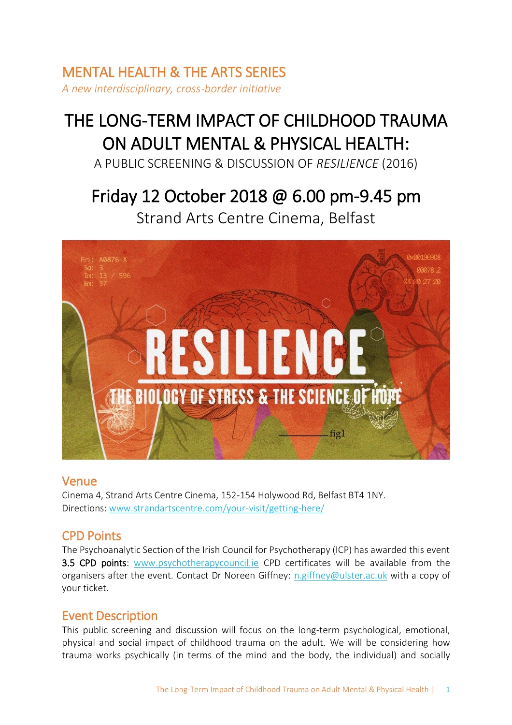# MENTAL HEALTH & THE ARTS SERIES *A new interdisciplinary, cross-border initiative*

# THE LONG-TERM IMPACT OF CHILDHOOD TRAUMA ON ADULT MENTAL & PHYSICAL HEALTH:

A PUBLIC SCREENING & DISCUSSION OF *RESILIENCE* (2016)

# Friday 12 October 2018 @ 6.00 pm-9.45 pm Strand Arts Centre Cinema, Belfast



## Venue

Cinema 4, Strand Arts Centre Cinema, 152-154 Holywood Rd, Belfast BT4 1NY. Directions: [www.strandartscentre.com/your-visit/getting-here/](http://www.strandartscentre.com/your-visit/getting-here/)

# CPD Points

The Psychoanalytic Section of the Irish Council for Psychotherapy (ICP) has awarded this event 3.5 CPD points: [www.psychotherapycouncil.ie](http://www.psychotherapycouncil.ie/) CPD certificates will be available from the organisers after the event. Contact Dr Noreen Giffney: [n.giffney@ulster.ac.uk](mailto:n.giffney@ulster.ac.uk) with a copy of your ticket.

# Event Description

This public screening and discussion will focus on the long-term psychological, emotional, physical and social impact of childhood trauma on the adult. We will be considering how trauma works psychically (in terms of the mind and the body, the individual) and socially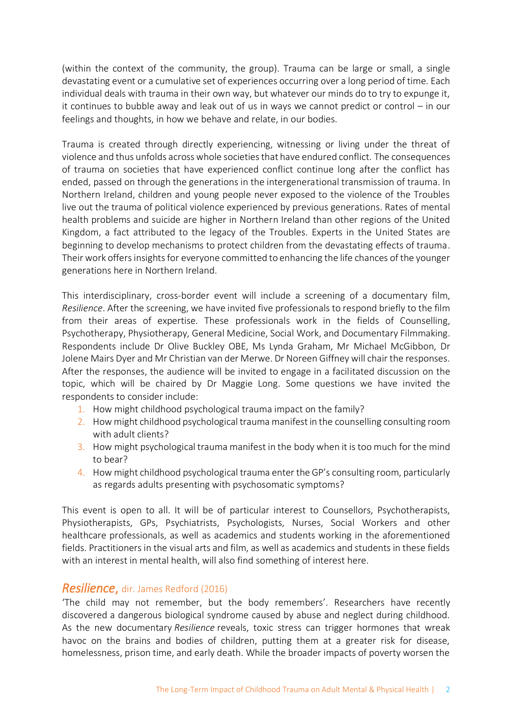(within the context of the community, the group). Trauma can be large or small, a single devastating event or a cumulative set of experiences occurring over a long period of time. Each individual deals with trauma in their own way, but whatever our minds do to try to expunge it, it continues to bubble away and leak out of us in ways we cannot predict or control – in our feelings and thoughts, in how we behave and relate, in our bodies.

Trauma is created through directly experiencing, witnessing or living under the threat of violence and thus unfolds across whole societies that have endured conflict. The consequences of trauma on societies that have experienced conflict continue long after the conflict has ended, passed on through the generations in the intergenerational transmission of trauma. In Northern Ireland, children and young people never exposed to the violence of the Troubles live out the trauma of political violence experienced by previous generations. Rates of mental health problems and suicide are higher in Northern Ireland than other regions of the United Kingdom, a fact attributed to the legacy of the Troubles. Experts in the United States are beginning to develop mechanisms to protect children from the devastating effects of trauma. Their work offers insights for everyone committed to enhancing the life chances of the younger generations here in Northern Ireland.

This interdisciplinary, cross-border event will include a screening of a documentary film, *Resilience*. After the screening, we have invited five professionals to respond briefly to the film from their areas of expertise. These professionals work in the fields of Counselling, Psychotherapy, Physiotherapy, General Medicine, Social Work, and Documentary Filmmaking. Respondents include Dr Olive Buckley OBE, Ms Lynda Graham, Mr Michael McGibbon, Dr Jolene Mairs Dyer and Mr Christian van der Merwe. Dr Noreen Giffney will chair the responses. After the responses, the audience will be invited to engage in a facilitated discussion on the topic, which will be chaired by Dr Maggie Long. Some questions we have invited the respondents to consider include:

- 1. How might childhood psychological trauma impact on the family?
- 2. How might childhood psychological trauma manifest in the counselling consulting room with adult clients?
- 3. How might psychological trauma manifest in the body when it is too much for the mind to bear?
- 4. How might childhood psychological trauma enter the GP's consulting room, particularly as regards adults presenting with psychosomatic symptoms?

This event is open to all. It will be of particular interest to Counsellors, Psychotherapists, Physiotherapists, GPs, Psychiatrists, Psychologists, Nurses, Social Workers and other healthcare professionals, as well as academics and students working in the aforementioned fields. Practitioners in the visual arts and film, as well as academics and students in these fields with an interest in mental health, will also find something of interest here.

## *Resilience*, dir. James Redford (2016)

'The child may not remember, but the body remembers'. Researchers have recently discovered a dangerous biological syndrome caused by abuse and neglect during childhood. As the new documentary *Resilience* reveals, toxic stress can trigger hormones that wreak havoc on the brains and bodies of children, putting them at a greater risk for disease, homelessness, prison time, and early death. While the broader impacts of poverty worsen the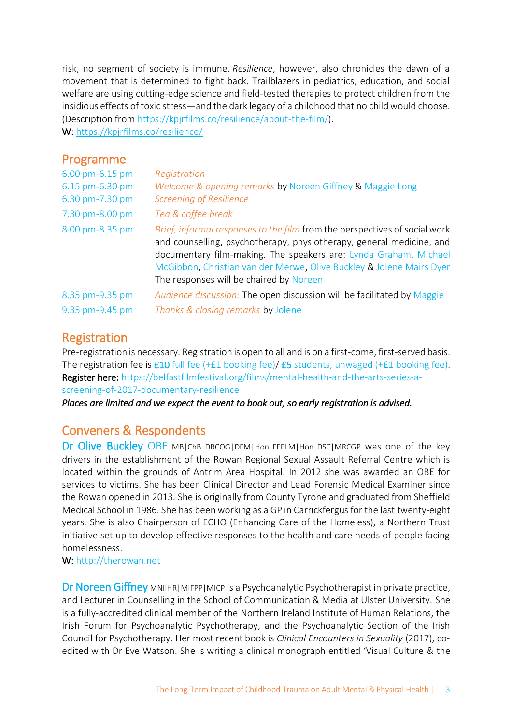risk, no segment of society is immune. *Resilience*, however, also chronicles the dawn of a movement that is determined to fight back. Trailblazers in pediatrics, education, and social welfare are using cutting-edge science and field-tested therapies to protect children from the insidious effects of toxic stress—and the dark legacy of a childhood that no child would choose. (Description from [https://kpjrfilms.co/resilience/about-the-film/\)](https://kpjrfilms.co/resilience/about-the-film/).

W:<https://kpjrfilms.co/resilience/>

## Programme

| 6.00 pm-6.15 pm | Registration                                                                                                                                                                                                                                                                                                                              |
|-----------------|-------------------------------------------------------------------------------------------------------------------------------------------------------------------------------------------------------------------------------------------------------------------------------------------------------------------------------------------|
| 6.15 pm-6.30 pm | Welcome & opening remarks by Noreen Giffney & Maggie Long                                                                                                                                                                                                                                                                                 |
| 6.30 pm-7.30 pm | <b>Screening of Resilience</b>                                                                                                                                                                                                                                                                                                            |
| 7.30 pm-8.00 pm | Tea & coffee break                                                                                                                                                                                                                                                                                                                        |
| 8.00 pm-8.35 pm | Brief, informal responses to the film from the perspectives of social work<br>and counselling, psychotherapy, physiotherapy, general medicine, and<br>documentary film-making. The speakers are: Lynda Graham, Michael<br>McGibbon, Christian van der Merwe, Olive Buckley & Jolene Mairs Dyer<br>The responses will be chaired by Noreen |
| 8.35 pm-9.35 pm | Audience discussion: The open discussion will be facilitated by Maggie                                                                                                                                                                                                                                                                    |
| 9.35 pm-9.45 pm | Thanks & closing remarks by Jolene                                                                                                                                                                                                                                                                                                        |

## Registration

Pre-registration is necessary. Registration is open to all and is on a first-come, first-served basis. The registration fee is £10 full fee (+£1 booking fee)/ £5 students, unwaged (+£1 booking fee). Register here: [https://belfastfilmfestival.org/films/mental-health-and-the-arts-series-a](https://belfastfilmfestival.org/films/mental-health-and-the-arts-series-a-screening-of-2017-documentary-resilience)[screening-of-2017-documentary-resilience](https://belfastfilmfestival.org/films/mental-health-and-the-arts-series-a-screening-of-2017-documentary-resilience)

*Places are limited and we expect the event to book out, so early registration is advised.*

# Conveners & Respondents

Dr Olive Buckley OBE MB|ChB|DRCOG|DFM|Hon FFFLM|Hon DSC|MRCGP was one of the key drivers in the establishment of the Rowan Regional Sexual Assault Referral Centre which is located within the grounds of Antrim Area Hospital. In 2012 she was awarded an OBE for services to victims. She has been Clinical Director and Lead Forensic Medical Examiner since the Rowan opened in 2013. She is originally from County Tyrone and graduated from Sheffield Medical School in 1986. She has been working as a GP in Carrickfergus for the last twenty-eight years. She is also Chairperson of ECHO (Enhancing Care of the Homeless), a Northern Trust initiative set up to develop effective responses to the health and care needs of people facing homelessness.

#### W: [http://therowan.net](http://therowan.net/)

Dr Noreen Giffney MNIIHR|MIFPP|MICP is a Psychoanalytic Psychotherapist in private practice, and Lecturer in Counselling in the School of Communication & Media at Ulster University. She is a fully-accredited clinical member of the Northern Ireland Institute of Human Relations, the Irish Forum for Psychoanalytic Psychotherapy, and the Psychoanalytic Section of the Irish Council for Psychotherapy. Her most recent book is *Clinical Encounters in Sexuality* (2017), coedited with Dr Eve Watson. She is writing a clinical monograph entitled 'Visual Culture & the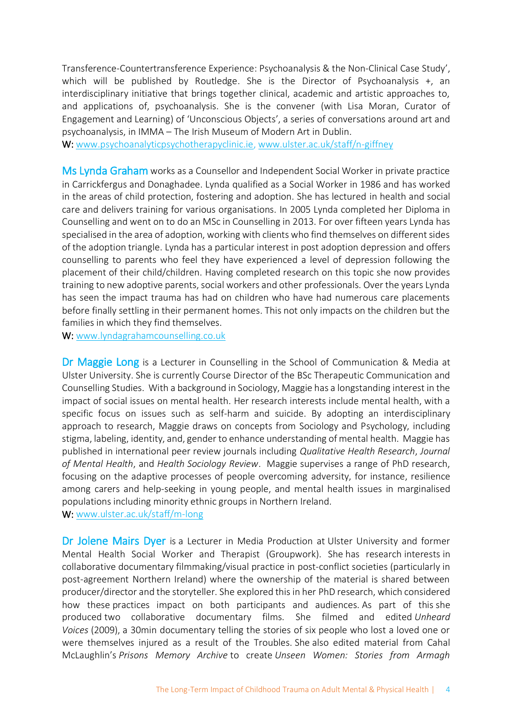Transference-Countertransference Experience: Psychoanalysis & the Non-Clinical Case Study', which will be published by Routledge. She is the Director of Psychoanalysis +, an interdisciplinary initiative that brings together clinical, academic and artistic approaches to, and applications of, psychoanalysis. She is the convener (with Lisa Moran, Curator of Engagement and Learning) of 'Unconscious Objects', a series of conversations around art and psychoanalysis, in IMMA – The Irish Museum of Modern Art in Dublin.

W: [www.psychoanalyticpsychotherapyclinic.ie,](http://www.psychoanalyticpsychotherapyclinic.ie/) [www.ulster.ac.uk/staff/n-giffney](http://www.ulster.ac.uk/staff/n-giffney)

Ms Lynda Graham works as a Counsellor and Independent Social Worker in private practice in Carrickfergus and Donaghadee. Lynda qualified as a Social Worker in 1986 and has worked in the areas of child protection, fostering and adoption. She has lectured in health and social care and delivers training for various organisations. In 2005 Lynda completed her Diploma in Counselling and went on to do an MSc in Counselling in 2013. For over fifteen years Lynda has specialised in the area of adoption, working with clients who find themselves on different sides of the adoption triangle. Lynda has a particular interest in post adoption depression and offers counselling to parents who feel they have experienced a level of depression following the placement of their child/children. Having completed research on this topic she now provides training to new adoptive parents, social workers and other professionals. Over the years Lynda has seen the impact trauma has had on children who have had numerous care placements before finally settling in their permanent homes. This not only impacts on the children but the families in which they find themselves.

W: [www.lyndagrahamcounselling.co.uk](http://www.lyndagrahamcounselling.co.uk/)

Dr Maggie Long is a Lecturer in Counselling in the School of Communication & Media at Ulster University. She is currently Course Director of the BSc Therapeutic Communication and Counselling Studies. With a background in Sociology, Maggie has a longstanding interest in the impact of social issues on mental health. Her research interests include mental health, with a specific focus on issues such as self-harm and suicide. By adopting an interdisciplinary approach to research, Maggie draws on concepts from Sociology and Psychology, including stigma, labeling, identity, and, gender to enhance understanding of mental health. Maggie has published in international peer review journals including *Qualitative Health Research*, *Journal of Mental Health*, and *Health Sociology Review*. Maggie supervises a range of PhD research, focusing on the adaptive processes of people overcoming adversity, for instance, resilience among carers and help-seeking in young people, and mental health issues in marginalised populations including minority ethnic groups in Northern Ireland.

W: [www.ulster.ac.uk/staff/m-long](http://www.ulster.ac.uk/staff/m-long)

Dr Jolene Mairs Dyer is a Lecturer in Media Production at Ulster University and former Mental Health Social Worker and Therapist (Groupwork). She has research interests in collaborative documentary filmmaking/visual practice in post-conflict societies (particularly in post-agreement Northern Ireland) where the ownership of the material is shared between producer/director and the storyteller. She explored this in her PhD research, which considered how these practices impact on both participants and audiences. As part of this she produced two collaborative documentary films. She filmed and edited *Unheard Voices* (2009), a 30min documentary telling the stories of six people who lost a loved one or were themselves injured as a result of the Troubles. She also edited material from Cahal McLaughlin's *Prisons Memory Archive* to create *Unseen Women: Stories from Armagh*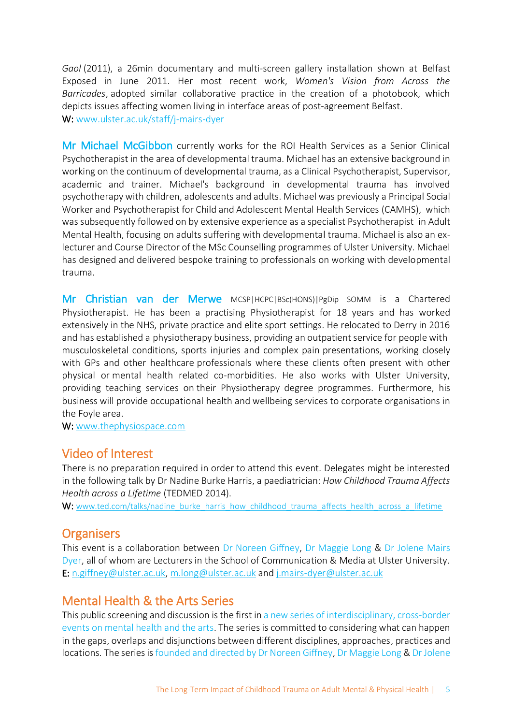*Gaol* (2011), a 26min documentary and multi-screen gallery installation shown at Belfast Exposed in June 2011. Her most recent work, *Women's Vision from Across the Barricades*, adopted similar collaborative practice in the creation of a photobook, which depicts issues affecting women living in interface areas of post-agreement Belfast. W: [www.ulster.ac.uk/staff/j-mairs-dyer](http://www.ulster.ac.uk/staff/j-mairs-dyer)

Mr Michael McGibbon currently works for the ROI Health Services as a Senior Clinical Psychotherapist in the area of developmental trauma. Michael has an extensive background in working on the continuum of developmental trauma, as a Clinical Psychotherapist, Supervisor, academic and trainer. Michael's background in developmental trauma has involved psychotherapy with children, adolescents and adults. Michael was previously a Principal Social Worker and Psychotherapist for Child and Adolescent Mental Health Services (CAMHS), which was subsequently followed on by extensive experience as a specialist Psychotherapist in Adult Mental Health, focusing on adults suffering with developmental trauma. Michael is also an exlecturer and Course Director of the MSc Counselling programmes of Ulster University. Michael has designed and delivered bespoke training to professionals on working with developmental trauma.

Mr Christian van der Merwe MCSP|HCPC|BSc(HONS)|PgDip SOMM is a Chartered Physiotherapist. He has been a practising Physiotherapist for 18 years and has worked extensively in the NHS, private practice and elite sport settings. He relocated to Derry in 2016 and has established a physiotherapy business, providing an outpatient service for people with musculoskeletal conditions, sports injuries and complex pain presentations, working closely with GPs and other healthcare professionals where these clients often present with other physical or mental health related co-morbidities. He also works with Ulster University, providing teaching services on their Physiotherapy degree programmes. Furthermore, his business will provide occupational health and wellbeing services to corporate organisations in the Foyle area.

W: [www.thephysiospace.com](http://www.thephysiospace.com/)

## Video of Interest

There is no preparation required in order to attend this event. Delegates might be interested in the following talk by Dr Nadine Burke Harris, a paediatrician: *How Childhood Trauma Affects Health across a Lifetime* (TEDMED 2014).

W: [www.ted.com/talks/nadine\\_burke\\_harris\\_how\\_childhood\\_trauma\\_affects\\_health\\_across\\_a\\_lifetime](http://www.ted.com/talks/nadine_burke_harris_how_childhood_trauma_affects_health_across_a_lifetime)

## **Organisers**

This event is a collaboration between Dr Noreen Giffney, Dr Maggie Long & Dr Jolene Mairs Dyer, all of whom are Lecturers in the School of Communication & Media at Ulster University. E: [n.giffney@ulster.ac.uk,](mailto:n.giffney@ulster.ac.uk) [m.long@ulster.ac.uk](mailto:m.long@ulster.ac.uk) and [j.mairs-dyer@ulster.ac.uk](mailto:j.mairs-dyer@ulster.ac.uk)

# Mental Health & the Arts Series

This public screening and discussion is the first in a new series of interdisciplinary, cross-border events on mental health and the arts. The series is committed to considering what can happen in the gaps, overlaps and disjunctions between different disciplines, approaches, practices and locations. The series is founded and directed by Dr Noreen Giffney, Dr Maggie Long & Dr Jolene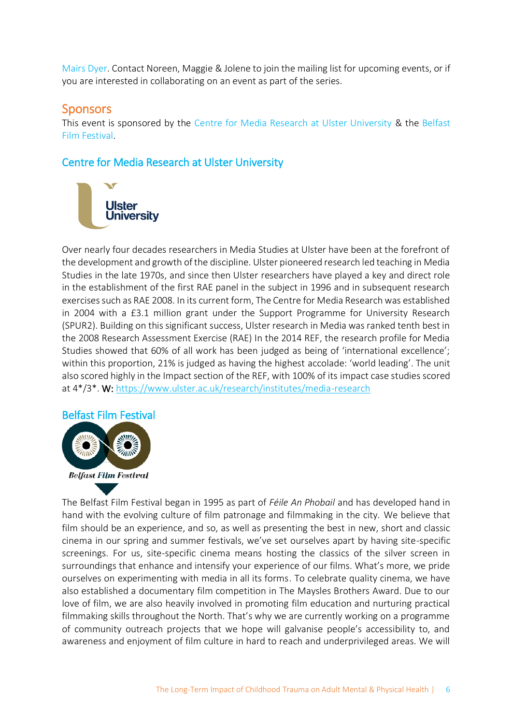Mairs Dyer. Contact Noreen, Maggie & Jolene to join the mailing list for upcoming events, or if you are interested in collaborating on an event as part of the series.

## **Sponsors**

This event is sponsored by the Centre for Media Research at Ulster University & the Belfast Film Festival.

Centre for Media Research at Ulster University



Over nearly four decades researchers in Media Studies at Ulster have been at the forefront of the development and growth of the discipline. Ulster pioneered research led teaching in Media Studies in the late 1970s, and since then Ulster researchers have played a key and direct role in the establishment of the first RAE panel in the subject in 1996 and in subsequent research exercises such as RAE 2008. In its current form, The Centre for Media Research was established in 2004 with a £3.1 million grant under the Support Programme for University Research (SPUR2). Building on this significant success, Ulster research in Media was ranked tenth best in the 2008 Research Assessment Exercise (RAE) In the 2014 REF, the research profile for Media Studies showed that 60% of all work has been judged as being of 'international excellence'; within this proportion, 21% is judged as having the highest accolade: 'world leading'. The unit also scored highly in the Impact section of the REF, with 100% of its impact case studies scored at 4\*/3\*. W:<https://www.ulster.ac.uk/research/institutes/media-research>

## Belfast Film Festival



The Belfast Film Festival began in 1995 as part of *Féile An Phobail* and has developed hand in hand with the evolving culture of film patronage and filmmaking in the city. We believe that film should be an experience, and so, as well as presenting the best in new, short and classic cinema in our spring and summer festivals, we've set ourselves apart by having site-specific screenings. For us, site-specific cinema means hosting the classics of the silver screen in surroundings that enhance and intensify your experience of our films. What's more, we pride ourselves on experimenting with media in all its forms. To celebrate quality cinema, we have also established a documentary film competition in The Maysles Brothers Award. Due to our love of film, we are also heavily involved in promoting film education and nurturing practical filmmaking skills throughout the North. That's why we are currently working on a programme of community outreach projects that we hope will galvanise people's accessibility to, and awareness and enjoyment of film culture in hard to reach and underprivileged areas. We will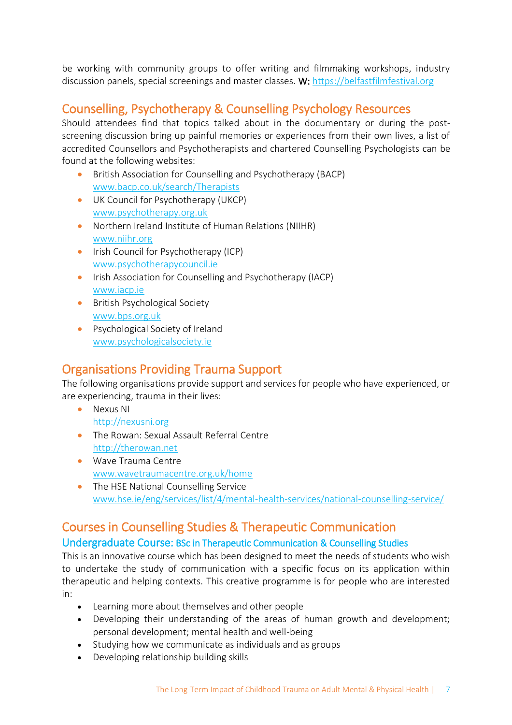be working with community groups to offer writing and filmmaking workshops, industry discussion panels, special screenings and master classes. W[: https://belfastfilmfestival.org](https://belfastfilmfestival.org/)

# Counselling, Psychotherapy & Counselling Psychology Resources

Should attendees find that topics talked about in the documentary or during the postscreening discussion bring up painful memories or experiences from their own lives, a list of accredited Counsellors and Psychotherapists and chartered Counselling Psychologists can be found at the following websites:

- British Association for Counselling and Psychotherapy (BACP) [www.bacp.co.uk/search/Therapists](http://www.bacp.co.uk/search/Therapists)
- UK Council for Psychotherapy (UKCP) [www.psychotherapy.org.uk](http://www.psychotherapy.org.uk/)
- Northern Ireland Institute of Human Relations (NIIHR) [www.niihr.org](http://www.niihr.org/)
- Irish Council for Psychotherapy (ICP) [www.psychotherapycouncil.ie](http://www.psychotherapycouncil.ie/)
- Irish Association for Counselling and Psychotherapy (IACP) [www.iacp.ie](http://www.iacp.ie/)
- British Psychological Society [www.bps.org.uk](http://www.bps.org.uk/)
- Psychological Society of Ireland [www.psychologicalsociety.ie](http://www.psychologicalsociety.ie/)

# Organisations Providing Trauma Support

The following organisations provide support and services for people who have experienced, or are experiencing, trauma in their lives:

- Nexus NI [http://nexusni.org](http://nexusni.org/)
- The Rowan: Sexual Assault Referral Centre [http://therowan.net](http://therowan.net/)
- Wave Trauma Centre [www.wavetraumacentre.org.uk/home](http://www.wavetraumacentre.org.uk/home)
- The HSE National Counselling Service [www.hse.ie/eng/services/list/4/mental-health-services/national-counselling-service/](http://www.hse.ie/eng/services/list/4/mental-health-services/national-counselling-service/)

# Courses in Counselling Studies & Therapeutic Communication

## Undergraduate Course: BSc in Therapeutic Communication & Counselling Studies

This is an innovative course which has been designed to meet the needs of students who wish to undertake the study of communication with a specific focus on its application within therapeutic and helping contexts. This creative programme is for people who are interested in:

- Learning more about themselves and other people
- Developing their understanding of the areas of human growth and development; personal development; mental health and well-being
- Studying how we communicate as individuals and as groups
- Developing relationship building skills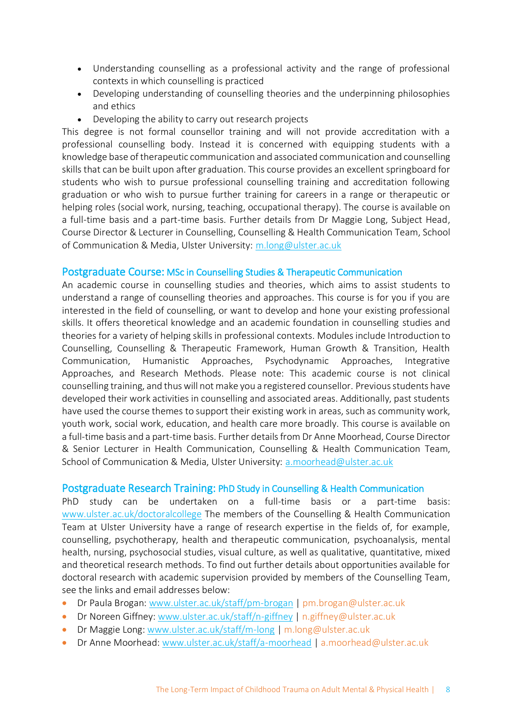- Understanding counselling as a professional activity and the range of professional contexts in which counselling is practiced
- Developing understanding of counselling theories and the underpinning philosophies and ethics
- Developing the ability to carry out research projects

This degree is not formal counsellor training and will not provide accreditation with a professional counselling body. Instead it is concerned with equipping students with a knowledge base of therapeutic communication and associated communication and counselling skills that can be built upon after graduation. This course provides an excellent springboard for students who wish to pursue professional counselling training and accreditation following graduation or who wish to pursue further training for careers in a range or therapeutic or helping roles (social work, nursing, teaching, occupational therapy). The course is available on a full-time basis and a part-time basis. Further details from Dr Maggie Long, Subject Head, Course Director & Lecturer in Counselling, Counselling & Health Communication Team, School of Communication & Media, Ulster University: [m.long@ulster.ac.uk](mailto:m.long@ulster.ac.uk)

#### Postgraduate Course: MSc in Counselling Studies & Therapeutic Communication

An academic course in counselling studies and theories, which aims to assist students to understand a range of counselling theories and approaches. This course is for you if you are interested in the field of counselling, or want to develop and hone your existing professional skills. It offers theoretical knowledge and an academic foundation in counselling studies and theories for a variety of helping skills in professional contexts. Modules include Introduction to Counselling, Counselling & Therapeutic Framework, Human Growth & Transition, Health Communication, Humanistic Approaches, Psychodynamic Approaches, Integrative Approaches, and Research Methods. Please note: This academic course is not clinical counselling training, and thus will not make you a registered counsellor. Previous students have developed their work activities in counselling and associated areas. Additionally, past students have used the course themes to support their existing work in areas, such as community work, youth work, social work, education, and health care more broadly. This course is available on a full-time basis and a part-time basis. Further details from Dr Anne Moorhead, Course Director & Senior Lecturer in Health Communication, Counselling & Health Communication Team, School of Communication & Media, Ulster University: [a.moorhead@ulster.ac.uk](mailto:a.moorhead@ulster.ac.uk)

#### Postgraduate Research Training: PhD Study in Counselling & Health Communication

PhD study can be undertaken on a full-time basis or a part-time basis: [www.ulster.ac.uk/doctoralcollege](http://www.ulster.ac.uk/doctoralcollege) The members of the Counselling & Health Communication Team at Ulster University have a range of research expertise in the fields of, for example, counselling, psychotherapy, health and therapeutic communication, psychoanalysis, mental health, nursing, psychosocial studies, visual culture, as well as qualitative, quantitative, mixed and theoretical research methods. To find out further details about opportunities available for doctoral research with academic supervision provided by members of the Counselling Team, see the links and email addresses below:

- Dr Paula Brogan: [www.ulster.ac.uk/staff/pm-brogan](http://www.ulster.ac.uk/staff/pm-brogan) | pm.brogan@ulster.ac.uk
- Dr Noreen Giffney: [www.ulster.ac.uk/staff/n-giffney](http://www.ulster.ac.uk/staff/n-giffney) | n.giffney@ulster.ac.uk
- Dr Maggie Long: [www.ulster.ac.uk/staff/m-long](http://www.ulster.ac.uk/staff/m-long) | m.long@ulster.ac.uk
- Dr Anne Moorhead: [www.ulster.ac.uk/staff/a-moorhead](http://www.ulster.ac.uk/staff/a-moorhead) | [a.moorhead@ulster.ac.uk](mailto:a.moorhead@ulster.ac.uk)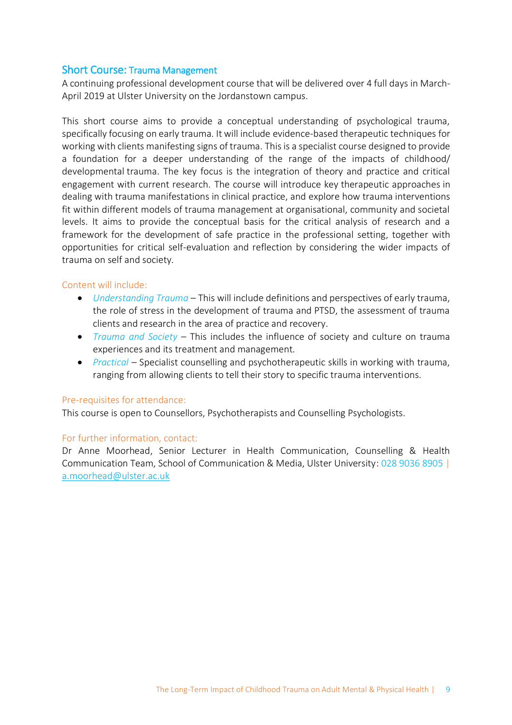#### Short Course: Trauma Management

A continuing professional development course that will be delivered over 4 full days in March-April 2019 at Ulster University on the Jordanstown campus.

This short course aims to provide a conceptual understanding of psychological trauma, specifically focusing on early trauma. It will include evidence-based therapeutic techniques for working with clients manifesting signs of trauma. This is a specialist course designed to provide a foundation for a deeper understanding of the range of the impacts of childhood/ developmental trauma. The key focus is the integration of theory and practice and critical engagement with current research. The course will introduce key therapeutic approaches in dealing with trauma manifestations in clinical practice, and explore how trauma interventions fit within different models of trauma management at organisational, community and societal levels. It aims to provide the conceptual basis for the critical analysis of research and a framework for the development of safe practice in the professional setting, together with opportunities for critical self-evaluation and reflection by considering the wider impacts of trauma on self and society.

#### Content will include:

- *Understanding Trauma* This will include definitions and perspectives of early trauma, the role of stress in the development of trauma and PTSD, the assessment of trauma clients and research in the area of practice and recovery.
- *Trauma and Society* This includes the influence of society and culture on trauma experiences and its treatment and management.
- *Practical* Specialist counselling and psychotherapeutic skills in working with trauma, ranging from allowing clients to tell their story to specific trauma interventions.

#### Pre-requisites for attendance:

This course is open to Counsellors, Psychotherapists and Counselling Psychologists.

#### For further information, contact:

Dr Anne Moorhead, Senior Lecturer in Health Communication, Counselling & Health Communication Team, School of Communication & Media, Ulster University: 028 9036 8905 | [a.moorhead@ulster.ac.uk](mailto:a.moorhead@ulster.ac.uk)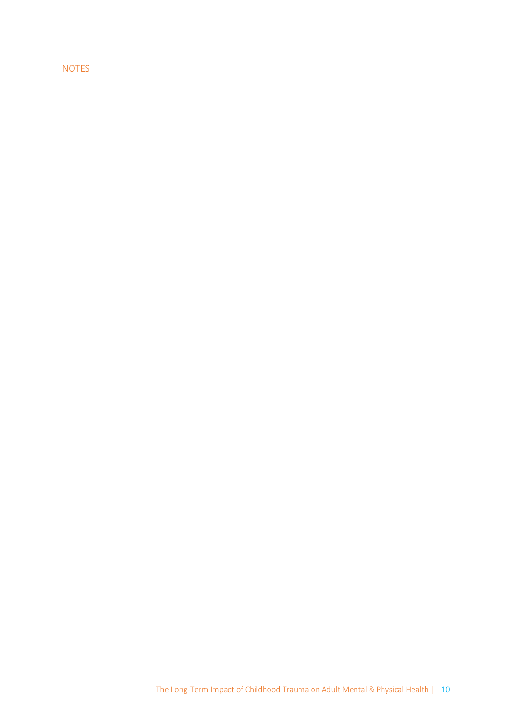#### NOTES